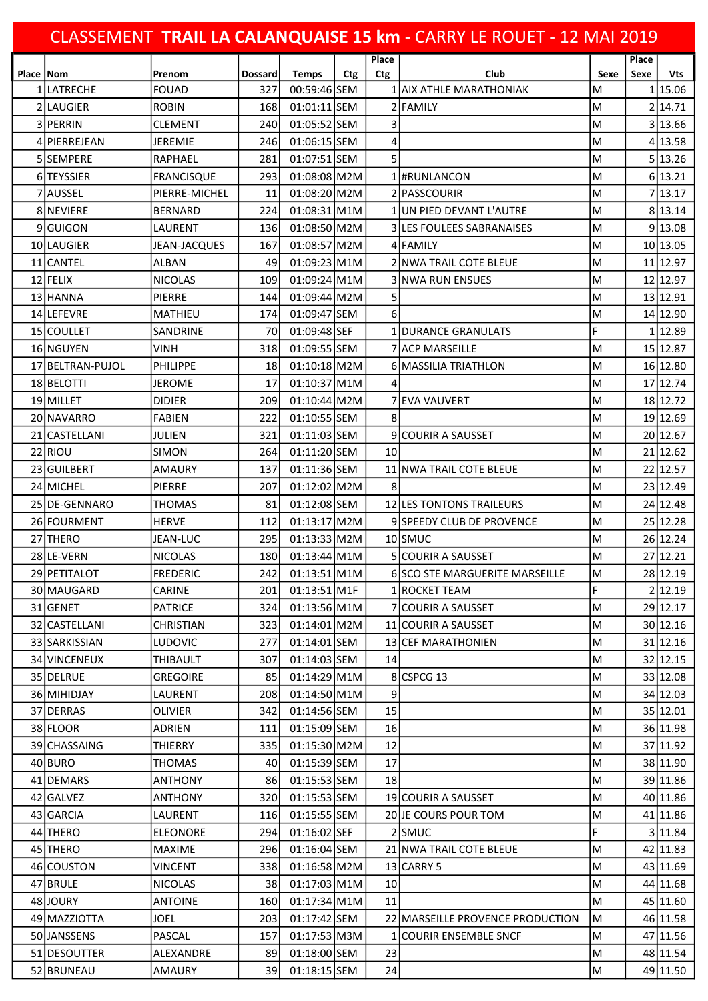| CLASSEMENT TRAIL LA CALANQUAISE 15 km - CARRY LE ROUET - 12 MAI 2019 |                  |                     |                |                |            |                 |                                  |      |       |            |  |
|----------------------------------------------------------------------|------------------|---------------------|----------------|----------------|------------|-----------------|----------------------------------|------|-------|------------|--|
|                                                                      |                  |                     |                |                |            | Place           |                                  |      | Place |            |  |
| Place   Nom                                                          |                  | Prenom              | <b>Dossard</b> | <b>Temps</b>   | <b>Ctg</b> | Ctg             | Club                             | Sexe | Sexe  | <b>Vts</b> |  |
|                                                                      | LATRECHE         | <b>FOUAD</b>        | 327            | 00:59:46 SEM   |            |                 | 1 AIX ATHLE MARATHONIAK          | M    |       | 1 15.06    |  |
|                                                                      | 2 LAUGIER        | <b>ROBIN</b>        | 168            | 01:01:11 SEM   |            |                 | 2 FAMILY                         | M    |       | 214.71     |  |
|                                                                      | 3 PERRIN         | CLEMENT             | 240            | 01:05:52 SEM   |            | 3               |                                  | M    |       | 3 13.66    |  |
| 4                                                                    | IPIERREJEAN      | JEREMIE             | 246            | 01:06:15 SEM   |            | 4               |                                  | м    |       | 4 13.58    |  |
|                                                                      | 5 SEMPERE        | <b>RAPHAEL</b>      | 281            | 01:07:51 SEM   |            | 5               |                                  | M    |       | 5 13.26    |  |
|                                                                      | 6 TEYSSIER       | <b>FRANCISQUE</b>   | 293            | $01:08:08$ M2M |            |                 | l #RUNLANCON                     | м    |       | 6 13.21    |  |
|                                                                      | 7 AUSSEL         | PIERRE-MICHEL       | 11             | 01:08:20 M2M   |            |                 | 2 PASSCOURIR                     | M    |       | 7 13.17    |  |
|                                                                      | 8 INEVIERE       | <b>BERNARD</b>      | 224            | 01:08:31 M1M   |            |                 | 1 JUN PIED DEVANT L'AUTRE        | ΙM   |       | 8 13.14    |  |
|                                                                      | 9 GUIGON         | LAURENT             | 136            | 01:08:50 M2M   |            |                 | <b>3 LES FOULEES SABRANAISES</b> | M    |       | 9 13.08    |  |
|                                                                      | 10 LAUGIER       | <b>JEAN-JACQUES</b> | 167            | 01:08:57 M2M   |            |                 | 4 FAMILY                         | ΙM   |       | 10 13.05   |  |
|                                                                      | 11 CANTEL        | ALBAN               | 49             | $01:09:23$ M1M |            |                 | 2 NWA TRAIL COTE BLEUE           | M    |       | 11 12.97   |  |
|                                                                      | 12 FELIX         | <b>NICOLAS</b>      | 109            | $01:09:24$ M1M |            |                 | <b>3 NWA RUN ENSUES</b>          | м    |       | 12 12.97   |  |
|                                                                      | 13 HANNA         | PIERRE              | 144            | $01:09:44$ M2M |            | 5               |                                  | M    |       | 13 12.91   |  |
|                                                                      | 14 LEFEVRE       | MATHIEU             | 174            | 01:09:47 SEM   |            | 6               |                                  | M    |       | 14 12.90   |  |
|                                                                      | 15 COULLET       | <b>SANDRINE</b>     | 70             | 01:09:48 SEF   |            |                 | 1 DURANCE GRANULATS              | F    |       | 1 12.89    |  |
|                                                                      | 16 NGUYEN        | VINH                | 318            | 01:09:55 SEM   |            |                 | <b>7 ACP MARSEILLE</b>           | M    |       | 15 12.87   |  |
|                                                                      | 17 BELTRAN-PUJOL | PHILIPPE            | 18             | $01:10:18$ M2M |            |                 | 6 MASSILIA TRIATHLON             | M    |       | 16 12.80   |  |
|                                                                      | 18 BELOTTI       | JEROME              | 17             | 01:10:37 M1M   |            | 4               |                                  | м    |       | 17 12.74   |  |
|                                                                      | 19 MILLET        | <b>DIDIER</b>       | 209            | $01:10:44$ M2M |            |                 | IEVA VAUVERT                     | M    |       | 18 12.72   |  |
|                                                                      | 20 NAVARRO       | <b>FABIEN</b>       | 222            | 01:10:55 SEM   |            | 8               |                                  | ΙM   |       | 19 12.69   |  |
|                                                                      | 21 CASTELLANI    | JULIEN              | 321            | 01:11:03 SEM   |            |                 | <b>9 COURIR A SAUSSET</b>        | M    |       | 20 12.67   |  |
|                                                                      | 22 RIOU          | <b>SIMON</b>        | 264            | 01:11:20 SEM   |            | 10              |                                  | ΙM   |       | 21 12.62   |  |
|                                                                      | 23 GUILBERT      | AMAURY              | 137            | 01:11:36 SEM   |            |                 | 11 NWA TRAIL COTE BLEUE          | M    |       | 22 12.57   |  |
|                                                                      | 24 MICHEL        | PIERRE              | 207            | $01:12:02$ M2M |            | 8               |                                  | M    |       | 23 12.49   |  |
|                                                                      | 25 DE-GENNARO    | <b>THOMAS</b>       | 81             | 01:12:08 SEM   |            |                 | 12 LES TONTONS TRAILEURS         | M    |       | 24 12.48   |  |
|                                                                      | 26 FOURMENT      | <b>HERVE</b>        | 112            | $01:13:17$ M2M |            |                 | 9 SPEEDY CLUB DE PROVENCE        | M    |       | 25 12.28   |  |
|                                                                      | 27 THERO         | <b>JEAN-LUC</b>     | 295            | 01:13:33 M2M   |            |                 | 10 SMUC                          | M    |       | 26 12.24   |  |
|                                                                      | 28 LE-VERN       | <b>NICOLAS</b>      | 180            | 01:13:44 M1M   |            |                 | 5 COURIR A SAUSSET               | M    |       | 27 12.21   |  |
|                                                                      | 29 PETITALOT     | FREDERIC            | 2421           | $01:13:51$ M1M |            |                 | 6 SCO STE MARGUERITE MARSEILLE   | M    |       | 28 12.19   |  |
|                                                                      | 30 MAUGARD       | CARINE              | 201            | $01:13:51$ M1F |            |                 | 1 ROCKET TEAM                    | F    |       | 2 12.19    |  |
|                                                                      | 31 GENET         | <b>PATRICE</b>      | 324            | $01:13:56$ M1M |            |                 | 7 COURIR A SAUSSET               | M    |       | 29 12.17   |  |
|                                                                      | 32 CASTELLANI    | CHRISTIAN           | 323            | 01:14:01 M2M   |            |                 | 11 COURIR A SAUSSET              | M    |       | 30 12.16   |  |
|                                                                      | 33 SARKISSIAN    | <b>LUDOVIC</b>      | 277            | 01:14:01 SEM   |            |                 | <b>13 CEF MARATHONIEN</b>        | M    |       | 31 12.16   |  |
|                                                                      | 34 VINCENEUX     | <b>THIBAULT</b>     | 307            | 01:14:03 SEM   |            | 14              |                                  | M    |       | 32 12.15   |  |
|                                                                      | 35 DELRUE        | <b>GREGOIRE</b>     | 85             | 01:14:29 M1M   |            |                 | 8 CSPCG 13                       | M    |       | 33 12.08   |  |
|                                                                      | 36 MIHIDJAY      | LAURENT             | 208            | 01:14:50 M1M   |            | 9               |                                  | M    |       | 34 12.03   |  |
|                                                                      | 37 DERRAS        | OLIVIER             | 342            | 01:14:56 SEM   |            | 15              |                                  | M    |       | 35 12.01   |  |
|                                                                      | 38 FLOOR         | ADRIEN              | 111            | 01:15:09 SEM   |            | 16              |                                  | M    |       | 36 11.98   |  |
|                                                                      | 39 CHASSAING     | THIERRY             | 335            | 01:15:30 M2M   |            | 12              |                                  | M    |       | 37 11.92   |  |
|                                                                      | 40 BURO          | <b>THOMAS</b>       | 40             | 01:15:39 SEM   |            | 17              |                                  | M    |       | 38 11.90   |  |
|                                                                      | 41 DEMARS        | ANTHONY             | 861            | 01:15:53 SEM   |            | 18              |                                  | M    |       | 39 11.86   |  |
|                                                                      | 42 GALVEZ        | ANTHONY             | 320            | 01:15:53 SEM   |            |                 | 19 COURIR A SAUSSET              | M    |       | 40 11.86   |  |
|                                                                      | 43 GARCIA        | LAURENT             | 116            | 01:15:55 SEM   |            |                 | 20 JE COURS POUR TOM             | M    |       | 41 11.86   |  |
|                                                                      | 44 THERO         | <b>ELEONORE</b>     | 294            | 01:16:02 SEF   |            |                 | 2 SMUC                           | F    |       | 3 11.84    |  |
|                                                                      | 45 THERO         | MAXIME              | 296            | 01:16:04 SEM   |            |                 | 21 NWA TRAIL COTE BLEUE          | M    |       | 42 11.83   |  |
|                                                                      | 46 COUSTON       | VINCENT             | 338            | 01:16:58 M2M   |            |                 | 13 CARRY 5                       | M    |       | 43 11.69   |  |
|                                                                      | 47 BRULE         | <b>NICOLAS</b>      | 38             | $01:17:03$ M1M |            | 10 <sub>l</sub> |                                  | M    |       | 44 11.68   |  |
|                                                                      | 48 JOURY         | <b>ANTOINE</b>      | 160 I          | $01:17:34$ M1M |            | 11              |                                  | M    |       | 45 11.60   |  |
|                                                                      | 49 MAZZIOTTA     | JOEL                | 203            | 01:17:42 SEM   |            |                 | 22 MARSEILLE PROVENCE PRODUCTION | M    |       | 46 11.58   |  |
|                                                                      | 50 JANSSENS      | PASCAL              | 157            | $01:17:53$ M3M |            |                 | 1 COURIR ENSEMBLE SNCF           | M    |       | 47 11.56   |  |
|                                                                      | 51 DESOUTTER     | ALEXANDRE           | 89             | 01:18:00 SEM   |            | 23              |                                  | M    |       | 48 11.54   |  |
|                                                                      | 52 BRUNEAU       | AMAURY              | 39             | $01:18:15$ SEM |            | 24              |                                  | M    |       | 49 11.50   |  |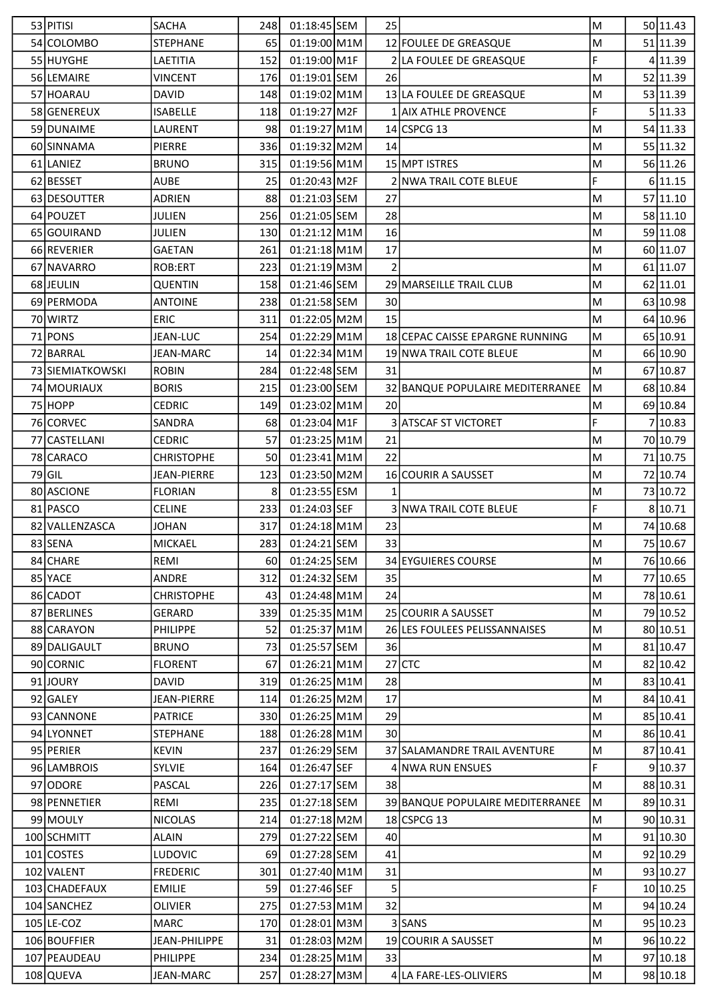| 53 PITISI        | <b>SACHA</b>       | 248 | 01:18:45 SEM   | 25           |                                  | M         | 50 11.43 |
|------------------|--------------------|-----|----------------|--------------|----------------------------------|-----------|----------|
| 54 COLOMBO       | <b>STEPHANE</b>    | 65  | 01:19:00 M1M   |              | 12 FOULEE DE GREASQUE            | M         | 51 11.39 |
| 55 HUYGHE        | LAETITIA           | 152 | 01:19:00 M1F   |              | 2 LA FOULEE DE GREASQUE          | F         | 4 11.39  |
| 56 LEMAIRE       | <b>VINCENT</b>     | 176 | $01:19:01$ SEM | <b>26</b>    |                                  | M         | 52 11.39 |
| 57 HOARAU        | <b>DAVID</b>       | 148 | 01:19:02 M1M   |              | 13 LA FOULEE DE GREASQUE         | M         | 53 11.39 |
| 58 GENEREUX      | <b>ISABELLE</b>    | 118 | 01:19:27 M2F   |              | 1 AIX ATHLE PROVENCE             | F         | 5 11.33  |
| 59 DUNAIME       | LAURENT            | 98  | 01:19:27 M1M   |              | 14 CSPCG 13                      | M         | 54 11.33 |
| 60 SINNAMA       | <b>PIERRE</b>      | 336 | $01:19:32$ M2M | 14           |                                  | M         | 55 11.32 |
| 61 LANIEZ        | <b>BRUNO</b>       | 315 | $01:19:56$ M1M |              | 15 MPT ISTRES                    | M         | 56 11.26 |
| 62 BESSET        | <b>AUBE</b>        | 25  | $01:20:43$ M2F |              | 2 NWA TRAIL COTE BLEUE           | F         | 6 11.15  |
| 63 DESOUTTER     | <b>ADRIEN</b>      | 88  | 01:21:03 SEM   | 27           |                                  | M         | 57 11.10 |
| 64 POUZET        | <b>JULIEN</b>      | 256 | 01:21:05 SEM   | 28           |                                  | M         | 58 11.10 |
| 65 GOUIRAND      | JULIEN             | 130 | $01:21:12$ M1M | 16           |                                  | M         | 59 11.08 |
| 66 REVERIER      | <b>GAETAN</b>      | 261 | $01:21:18$ M1M | 17           |                                  | M         | 60 11.07 |
| 67 NAVARRO       | ROB:ERT            | 223 | $01:21:19$ M3M | 2            |                                  | M         | 61 11.07 |
| 68 JEULIN        | <b>QUENTIN</b>     | 158 | 01:21:46 SEM   |              | 29 MARSEILLE TRAIL CLUB          | M         | 62 11.01 |
| 69 PERMODA       | <b>ANTOINE</b>     | 238 | 01:21:58 SEM   | 30           |                                  | M         | 63 10.98 |
| 70 WIRTZ         | <b>ERIC</b>        | 311 | 01:22:05 M2M   | 15           |                                  | M         | 64 10.96 |
| 71 PONS          | JEAN-LUC           | 254 | $01:22:29$ M1M |              | 18 CEPAC CAISSE EPARGNE RUNNING  | M         | 65 10.91 |
| 72 BARRAL        | <b>JEAN-MARC</b>   | 14  | 01:22:34 M1M   |              | 19 NWA TRAIL COTE BLEUE          | M         | 66 10.90 |
| 73 SIEMIATKOWSKI | <b>ROBIN</b>       | 284 | 01:22:48 SEM   | 31           |                                  | M         | 67 10.87 |
| 74 MOURIAUX      | <b>BORIS</b>       | 215 | 01:23:00 SEM   |              | 32 BANQUE POPULAIRE MEDITERRANEE | M         | 68 10.84 |
| 75 HOPP          | <b>CEDRIC</b>      | 149 | 01:23:02 M1M   | 20           |                                  | M         | 69 10.84 |
| 76 CORVEC        | SANDRA             | 68  | 01:23:04 M1F   |              | <b>3 ATSCAF ST VICTORET</b>      | F         | 710.83   |
| 77 CASTELLANI    | CEDRIC             | 57  | $01:23:25$ M1M | 21           |                                  | M         | 70 10.79 |
| 78 CARACO        | <b>CHRISTOPHE</b>  | 50  | 01:23:41 M1M   | 22           |                                  | M         | 71 10.75 |
| $79$ GIL         | <b>JEAN-PIERRE</b> | 123 | 01:23:50 M2M   |              | <b>16 COURIR A SAUSSET</b>       | M         | 72 10.74 |
| 80 ASCIONE       | <b>FLORIAN</b>     | 8   | 01:23:55 ESM   | $\mathbf{1}$ |                                  | M         | 73 10.72 |
| 81 PASCO         | <b>CELINE</b>      | 233 | 01:24:03 SEF   |              | 3 NWA TRAIL COTE BLEUE           | F         | 8 10.71  |
| 82 VALLENZASCA   | <b>JOHAN</b>       | 317 | $01:24:18$ M1M | 23           |                                  | M         | 74 10.68 |
| 83 SENA          | MICKAEL            | 283 | 01:24:21 SEM   | 33           |                                  | M         | 75 10.67 |
| 84 CHARE         | REMI               | 60  | 01:24:25 SEM   |              | 34 EYGUIERES COURSE              | M         | 76 10.66 |
| 85 YACE          | ANDRE              | 312 | 01:24:32 SEM   | 35           |                                  | M         | 77 10.65 |
| 86 CADOT         | <b>CHRISTOPHE</b>  | 43  | 01:24:48 M1M   | 24           |                                  | M         | 78 10.61 |
| 87 BERLINES      | <b>GERARD</b>      | 339 | 01:25:35 M1M   |              | 25 COURIR A SAUSSET              | M         | 79 10.52 |
| 88 CARAYON       | PHILIPPE           | 52  | 01:25:37 M1M   |              | 26 LES FOULEES PELISSANNAISES    | M         | 80 10.51 |
| 89 DALIGAULT     | <b>BRUNO</b>       | 73  | 01:25:57 SEM   | 36           |                                  | M         | 81 10.47 |
| 90 CORNIC        | <b>FLORENT</b>     | 67  | 01:26:21 M1M   |              | $27$ CTC                         | M         | 82 10.42 |
| 91JOURY          | <b>DAVID</b>       | 319 | 01:26:25 M1M   | 28           |                                  | M         | 83 10.41 |
| 92 GALEY         | <b>JEAN-PIERRE</b> | 114 | 01:26:25 M2M   | 17           |                                  | M         | 84 10.41 |
| 93 CANNONE       | <b>PATRICE</b>     | 330 | 01:26:25 M1M   | 29           |                                  | M         | 85 10.41 |
| 94 LYONNET       | <b>STEPHANE</b>    | 188 | 01:26:28 M1M   | 30           |                                  | M         | 86 10.41 |
| 95 PERIER        | <b>KEVIN</b>       | 237 | 01:26:29 SEM   |              | 37 SALAMANDRE TRAIL AVENTURE     | M         | 87 10.41 |
| 96 LAMBROIS      | <b>SYLVIE</b>      | 164 | 01:26:47 SEF   |              | 4 NWA RUN ENSUES                 | F.        | 9 10.37  |
| 97 ODORE         | <b>PASCAL</b>      | 226 | 01:27:17 SEM   | 38           |                                  | M         | 88 10.31 |
| 98 PENNETIER     | REMI               | 235 | 01:27:18 SEM   |              | 39 BANQUE POPULAIRE MEDITERRANEE | M         | 89 10.31 |
| 99 MOULY         | <b>NICOLAS</b>     | 214 | 01:27:18 M2M   |              | 18 CSPCG 13                      | M         | 90 10.31 |
| 100 SCHMITT      | ALAIN              | 279 | 01:27:22 SEM   | 40           |                                  | M         | 91 10.30 |
| 101 COSTES       | <b>LUDOVIC</b>     | 69  | 01:27:28 SEM   | 41           |                                  | M         | 92 10.29 |
| 102 VALENT       | <b>FREDERIC</b>    | 301 | 01:27:40 M1M   | 31           |                                  | M         | 93 10.27 |
| 103 CHADEFAUX    | <b>EMILIE</b>      | 59  | 01:27:46 SEF   | 5            |                                  | F         | 10 10.25 |
| 104 SANCHEZ      | <b>OLIVIER</b>     | 275 | 01:27:53 M1M   | 32           |                                  | M         | 94 10.24 |
| 105 LE-COZ       | <b>MARC</b>        | 170 | 01:28:01 M3M   |              | 3 SANS                           | M         | 95 10.23 |
| 106 BOUFFIER     | JEAN-PHILIPPE      | 31  | 01:28:03 M2M   |              | 19 COURIR A SAUSSET              | M         | 96 10.22 |
| 107 PEAUDEAU     | PHILIPPE           | 234 | 01:28:25 M1M   | 33           |                                  | ${\sf M}$ | 97 10.18 |
| 108 QUEVA        | JEAN-MARC          | 257 | 01:28:27 M3M   |              | 4 LA FARE-LES-OLIVIERS           | M         | 98 10.18 |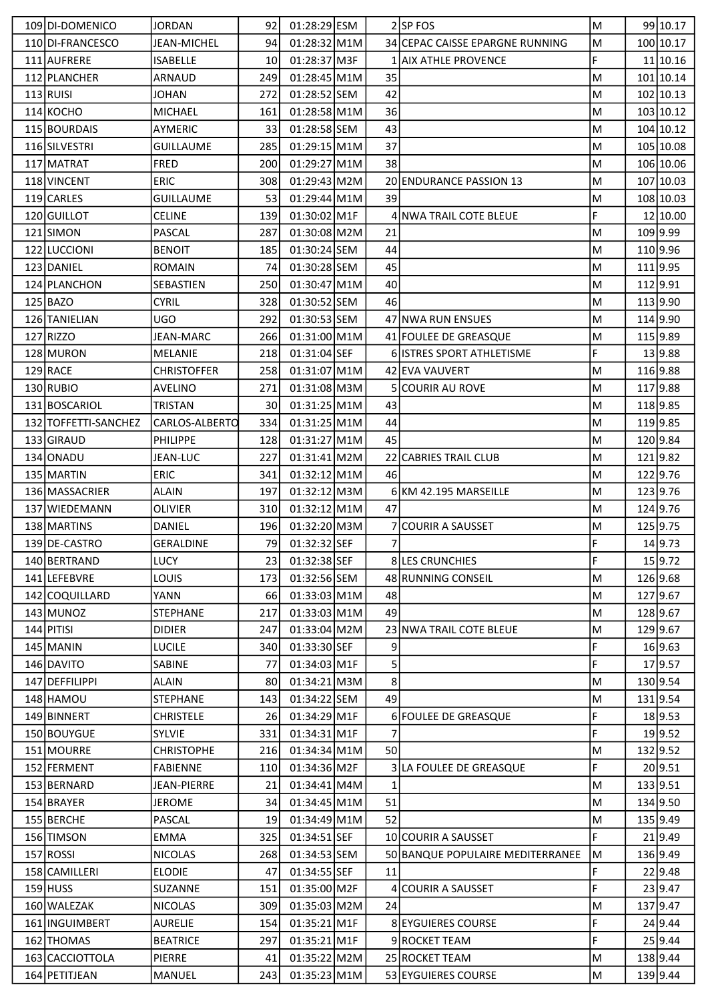| 109 DI-DOMENICO      | JORDAN             | 92   | 01:28:29 ESM   |                | 2SP FOS                          | M | 99 10.17  |
|----------------------|--------------------|------|----------------|----------------|----------------------------------|---|-----------|
| 110 DI-FRANCESCO     | JEAN-MICHEL        | 94   | 01:28:32 M1M   |                | 34 CEPAC CAISSE EPARGNE RUNNING  | M | 100 10.17 |
| 111 AUFRERE          | <b>ISABELLE</b>    | 10   | 01:28:37 M3F   |                | 1 AIX ATHLE PROVENCE             | F | 11 10.16  |
| 112 PLANCHER         | ARNAUD             | 249  | 01:28:45 M1M   | 35             |                                  | M | 101 10.14 |
| $113$ RUISI          | <b>JOHAN</b>       | 272  | 01:28:52 SEM   | 42             |                                  | M | 102 10.13 |
| 114 KOCHO            | <b>MICHAEL</b>     | 161  | 01:28:58 M1M   | 36             |                                  | M | 103 10.12 |
| 115 BOURDAIS         | <b>AYMERIC</b>     | 33   | 01:28:58 SEM   | 43             |                                  | M | 104 10.12 |
| 116 SILVESTRI        | <b>GUILLAUME</b>   | 285  | $01:29:15$ M1M | 37             |                                  | M | 105 10.08 |
| 117 MATRAT           | <b>FRED</b>        | 200  | 01:29:27 M1M   | 38             |                                  | M | 106 10.06 |
| 118 VINCENT          | <b>ERIC</b>        | 308  | 01:29:43 M2M   |                | 20 ENDURANCE PASSION 13          | M | 107 10.03 |
| 119 CARLES           | <b>GUILLAUME</b>   | 53   | $01:29:44$ M1M | 39             |                                  | M | 108 10.03 |
| 120 GUILLOT          | <b>CELINE</b>      | 139  | 01:30:02 M1F   |                | 4 NWA TRAIL COTE BLEUE           | F | 12 10.00  |
| 121 SIMON            | PASCAL             | 287  | 01:30:08 M2M   | 21             |                                  | M | 109 9.99  |
| 122 LUCCIONI         | <b>BENOIT</b>      | 185  | 01:30:24 SEM   | 44             |                                  | M | 110 9.96  |
|                      |                    |      |                |                |                                  |   |           |
| 123 DANIEL           | <b>ROMAIN</b>      | 74   | 01:30:28 SEM   | 45             |                                  | M | 111 9.95  |
| 124 PLANCHON         | SEBASTIEN          | 250  | 01:30:47 M1M   | 40             |                                  | M | 112 9.91  |
| $125$ BAZO           | <b>CYRIL</b>       | 328  | 01:30:52 SEM   | 46             |                                  | M | 113 9.90  |
| 126 TANIELIAN        | UGO                | 292  | 01:30:53 SEM   |                | 47 NWA RUN ENSUES                | M | 114 9.90  |
| 127 RIZZO            | <b>JEAN-MARC</b>   | 266  | 01:31:00 M1M   |                | 41 FOULEE DE GREASQUE            | M | 115 9.89  |
| 128 MURON            | MELANIE            | 218  | 01:31:04 SEF   |                | <b>6 ISTRES SPORT ATHLETISME</b> | F | 13 9.88   |
| $129$ RACE           | <b>CHRISTOFFER</b> | 258  | 01:31:07 M1M   |                | 42 EVA VAUVERT                   | M | 116 9.88  |
| 130 RUBIO            | <b>AVELINO</b>     | 271  | 01:31:08 M3M   |                | 5 COURIR AU ROVE                 | M | 117 9.88  |
| 131 BOSCARIOL        | TRISTAN            | 30   | $01:31:25$ M1M | 43             |                                  | M | 118 9.85  |
| 132 TOFFETTI-SANCHEZ | CARLOS-ALBERTO     | 334  | $01:31:25$ M1M | 44             |                                  | M | 119 9.85  |
| 133 GIRAUD           | <b>PHILIPPE</b>    | 128  | 01:31:27 M1M   | 45             |                                  | M | 120 9.84  |
| 134 ONADU            | JEAN-LUC           | 227  | 01:31:41 M2M   |                | 22 CABRIES TRAIL CLUB            | M | 1219.82   |
| 135 MARTIN           | <b>ERIC</b>        | 341  | $01:32:12$ M1M | 46             |                                  | M | 122 9.76  |
| 136 MASSACRIER       | <b>ALAIN</b>       | 197  | 01:32:12 M3M   |                | 6 KM 42.195 MARSEILLE            | M | 123 9.76  |
| 137 WIEDEMANN        | <b>OLIVIER</b>     | 310  | 01:32:12 M1M   | 47             |                                  | M | 124 9.76  |
| 138 MARTINS          | DANIEL             | 196  | 01:32:20 M3M   |                | 7 COURIR A SAUSSET               | M | 125 9.75  |
| 139 DE-CASTRO        | <b>GERALDINE</b>   | 79I  | 01:32:32 SEF   | 7 <sup>1</sup> |                                  | F | 14 9.73   |
| 140 BERTRAND         | <b>LUCY</b>        | 23 I | 01:32:38 SEF   |                | 8 LES CRUNCHIES                  | F | 15 9.72   |
| 141 LEFEBVRE         | <b>LOUIS</b>       | 173  | 01:32:56 SEM   |                | 48 RUNNING CONSEIL               | M | 126 9.68  |
| 142 COQUILLARD       | YANN               | 66   | 01:33:03 M1M   | 48             |                                  | M | 127 9.67  |
| 143 MUNOZ            | <b>STEPHANE</b>    | 217  | 01:33:03 M1M   | 49             |                                  | M | 128 9.67  |
| 144 PITISI           | <b>DIDIER</b>      | 247  | 01:33:04 M2M   |                | 23 NWA TRAIL COTE BLEUE          | M | 129 9.67  |
| 145 MANIN            | LUCILE             | 340  | 01:33:30 SEF   | 9              |                                  | F | 16 9.63   |
| 146 DAVITO           | SABINE             | 77   | 01:34:03 M1F   | 5              |                                  | F | 17 9.57   |
| 147 DEFFILIPPI       | ALAIN              | 80   | 01:34:21 M3M   | 8              |                                  | M | 130 9.54  |
| 148 HAMOU            | <b>STEPHANE</b>    | 143  | 01:34:22 SEM   | 49             |                                  | M | 131 9.54  |
| 149 BINNERT          | <b>CHRISTELE</b>   | 26   | 01:34:29 M1F   |                | 6 FOULEE DE GREASQUE             | F | 18 9.53   |
| 150 BOUYGUE          | <b>SYLVIE</b>      | 331  | 01:34:31 M1F   |                |                                  | F | 19 9.52   |
| 151 MOURRE           | <b>CHRISTOPHE</b>  | 216  | 01:34:34 M1M   | 50             |                                  | M | 132 9.52  |
| 152 FERMENT          | <b>FABIENNE</b>    | 110  | 01:34:36 M2F   |                | 3 LA FOULEE DE GREASQUE          | F | 20 9.51   |
| 153 BERNARD          | JEAN-PIERRE        | 21   | 01:34:41 M4M   | 1              |                                  | M | 133 9.51  |
| 154 BRAYER           | JEROME             | 34   | 01:34:45 M1M   | 51             |                                  | M | 134 9.50  |
| 155 BERCHE           | PASCAL             | 19   | 01:34:49 M1M   | 52             |                                  | M | 135 9.49  |
|                      |                    |      |                |                |                                  | F | 21 9.49   |
| 156 TIMSON           | EMMA               | 325  | 01:34:51 SEF   |                | 10 COURIR A SAUSSET              |   |           |
| 157 ROSSI            | <b>NICOLAS</b>     | 268  | 01:34:53 SEM   |                | 50 BANQUE POPULAIRE MEDITERRANEE | M | 136 9.49  |
| 158 CAMILLERI        | <b>ELODIE</b>      | 47   | 01:34:55 SEF   | 11             |                                  | F | 22 9.48   |
| $159$ HUSS           | SUZANNE            | 151  | 01:35:00 M2F   |                | <b>COURIR A SAUSSET</b>          | F | 23 9.47   |
| 160 WALEZAK          | <b>NICOLAS</b>     | 309  | 01:35:03 M2M   | 24             |                                  | M | 137 9.47  |
| 161 INGUIMBERT       | AURELIE            | 154  | 01:35:21 M1F   |                | <b>8 EYGUIERES COURSE</b>        | F | 24 9.44   |
| 162 THOMAS           | <b>BEATRICE</b>    | 297  | 01:35:21 M1F   |                | 9 ROCKET TEAM                    | F | 25 9.44   |
| 163 CACCIOTTOLA      | <b>PIERRE</b>      | 41   | 01:35:22 M2M   |                | 25 ROCKET TEAM                   | M | 138 9.44  |
| 164 PETITJEAN        | MANUEL             | 243  | 01:35:23 M1M   |                | 53 EYGUIERES COURSE              | M | 139 9.44  |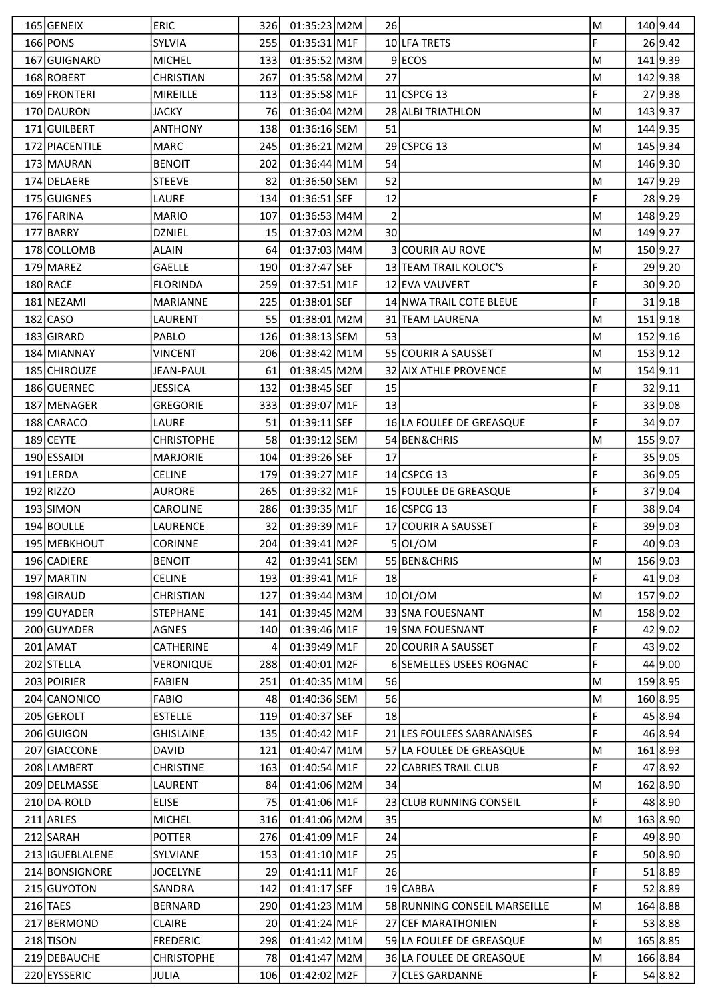| 165 GENEIX        | <b>ERIC</b>       | 326 | $01:35:23$ M2M | 261             |                                | M | 140 9.44 |
|-------------------|-------------------|-----|----------------|-----------------|--------------------------------|---|----------|
| 166 PONS          | SYLVIA            | 255 | 01:35:31 M1F   |                 | 10 LFA TRETS                   | F | 26 9.42  |
| 167 GUIGNARD      | <b>MICHEL</b>     | 133 | 01:35:52 M3M   |                 | 9 ECOS                         | M | 141 9.39 |
| 168 ROBERT        | <b>CHRISTIAN</b>  | 267 | 01:35:58 M2M   | 27              |                                | M | 142 9.38 |
| 169 FRONTERI      | <b>MIREILLE</b>   | 113 | 01:35:58 M1F   |                 | 11 CSPCG 13                    | F | 27 9.38  |
| 170 DAURON        | <b>JACKY</b>      | 76I | 01:36:04 M2M   |                 | 28 ALBI TRIATHLON              | M | 143 9.37 |
| 171 GUILBERT      | <b>ANTHONY</b>    | 138 | 01:36:16 SEM   | 51              |                                | M | 144 9.35 |
| 172 PIACENTILE    | <b>MARC</b>       | 245 | 01:36:21 M2M   |                 | 29 CSPCG 13                    | M | 145 9.34 |
| 173 MAURAN        | <b>BENOIT</b>     | 202 | 01:36:44 M1M   | 54              |                                | M | 146 9.30 |
| 174 DELAERE       | <b>STEEVE</b>     | 82  | 01:36:50 SEM   | 52              |                                | M | 147 9.29 |
| 175 GUIGNES       | LAURE             | 134 | 01:36:51 SEF   | 12              |                                | F | 28 9.29  |
| 176 FARINA        | <b>MARIO</b>      | 107 | 01:36:53 M4M   | $\overline{2}$  |                                | M | 148 9.29 |
| 177 BARRY         | <b>DZNIEL</b>     | 15  | 01:37:03 M2M   | 30 <sup>1</sup> |                                | M | 149 9.27 |
| 178 COLLOMB       | <b>ALAIN</b>      | 64  | 01:37:03 M4M   |                 | <b>3 COURIR AU ROVE</b>        | M | 150 9.27 |
| 179 MAREZ         | <b>GAELLE</b>     | 190 | 01:37:47 SEF   |                 | 13 TEAM TRAIL KOLOC'S          | F | 29 9.20  |
| 180 RACE          | <b>FLORINDA</b>   | 259 | 01:37:51 M1F   |                 | 12 EVA VAUVERT                 | F | 30 9.20  |
| 181 NEZAMI        | <b>MARIANNE</b>   | 225 | 01:38:01 SEF   |                 | <b>14 NWA TRAIL COTE BLEUE</b> | F | 31 9.18  |
| $182$ CASO        | LAURENT           | 55  | 01:38:01 M2M   |                 | 31 TEAM LAURENA                | M | 151 9.18 |
| 183 GIRARD        | PABLO             | 126 | 01:38:13 SEM   | 53              |                                | M | 152 9.16 |
| 184 MIANNAY       | VINCENT           | 206 | 01:38:42 M1M   |                 | <b>55 COURIR A SAUSSET</b>     | M | 153 9.12 |
| 185 CHIROUZE      | <b>JEAN-PAUL</b>  | 61  | 01:38:45 M2M   |                 | 32 AIX ATHLE PROVENCE          | M | 154 9.11 |
| 186 GUERNEC       | <b>JESSICA</b>    | 132 | 01:38:45 SEF   | 15              |                                | F | 32 9.11  |
| 187 MENAGER       | <b>GREGORIE</b>   | 333 | 01:39:07 M1F   | 13              |                                | F | 33 9.08  |
| 188 CARACO        | LAURE             | 51  | 01:39:11 SEF   |                 | 16 LA FOULEE DE GREASQUE       | F | 34 9.07  |
| 189 CEYTE         | <b>CHRISTOPHE</b> | 58  | 01:39:12 SEM   |                 | 54 BEN&CHRIS                   | M | 155 9.07 |
| 190 ESSAIDI       | MARJORIE          | 104 | 01:39:26 SEF   | 17              |                                | F | 35 9.05  |
| 191 LERDA         | <b>CELINE</b>     | 179 | 01:39:27 M1F   |                 | 14 CSPCG 13                    | F | 36 9.05  |
| 192 RIZZO         | <b>AURORE</b>     | 265 | 01:39:32 M1F   |                 | 15 FOULEE DE GREASQUE          | F | 37 9.04  |
| 193 SIMON         | <b>CAROLINE</b>   | 286 | 01:39:35 M1F   |                 | 16 CSPCG 13                    | F | 38 9.04  |
| 194 BOULLE        | LAURENCE          | 32  | 01:39:39 M1F   |                 | 17 COURIR A SAUSSET            | F | 39 9.03  |
| 195 MEBKHOUT      | <b>CORINNE</b>    | 204 | 01:39:41 M2F   |                 | 5 OL/OM                        | F | 40 9.03  |
| 196 CADIERE       | <b>BENOIT</b>     | 42  | 01:39:41 SEM   |                 | 55 BEN&CHRIS                   | M | 156 9.03 |
| 197 MARTIN        | <b>CELINE</b>     | 193 | 01:39:41 M1F   | 18              |                                | F | 41 9.03  |
| 198 GIRAUD        | <b>CHRISTIAN</b>  | 127 | 01:39:44 M3M   |                 | 10 OL/OM                       | M | 157 9.02 |
| 199 GUYADER       | <b>STEPHANE</b>   | 141 | 01:39:45 M2M   |                 | 33 SNA FOUESNANT               | M | 158 9.02 |
| 200 GUYADER       | AGNES             | 140 | 01:39:46 M1F   |                 | 19 SNA FOUESNANT               | F | 42 9.02  |
| $201$ AMAT        | CATHERINE         | 4   | 01:39:49 M1F   |                 | 20 COURIR A SAUSSET            | F | 43 9.02  |
| 202 STELLA        | VERONIQUE         | 288 | 01:40:01 M2F   |                 | <b>6ISEMELLES USEES ROGNAC</b> | F | 44 9.00  |
| 203 POIRIER       | <b>FABIEN</b>     | 251 | 01:40:35 M1M   | 56              |                                | M | 159 8.95 |
| 204 CANONICO      | <b>FABIO</b>      | 48  | 01:40:36 SEM   | 56              |                                | M | 160 8.95 |
| 205 GEROLT        | <b>ESTELLE</b>    | 119 | 01:40:37 SEF   | 18              |                                | F | 45 8.94  |
| 206 GUIGON        | <b>GHISLAINE</b>  | 135 | 01:40:42 M1F   |                 | 21 LES FOULEES SABRANAISES     | F | 46 8.94  |
| 207 GIACCONE      | DAVID             | 121 | 01:40:47 M1M   |                 | 57 LA FOULEE DE GREASQUE       | M | 161 8.93 |
| 208 LAMBERT       | <b>CHRISTINE</b>  | 163 | 01:40:54 M1F   |                 | 22 CABRIES TRAIL CLUB          | F | 47 8.92  |
| 209 DELMASSE      | LAURENT           | 84  | 01:41:06 M2M   | 34              |                                | M | 162 8.90 |
| 210 DA-ROLD       | <b>ELISE</b>      | 75  | 01:41:06 M1F   |                 | 23 CLUB RUNNING CONSEIL        | F | 48 8.90  |
| 211 ARLES         | <b>MICHEL</b>     | 316 | 01:41:06 M2M   | 35              |                                | M | 163 8.90 |
| 212 SARAH         | <b>POTTER</b>     | 276 | 01:41:09 M1F   | 24              |                                | F | 49 8.90  |
| 213   IGUEBLALENE | SYLVIANE          | 153 | 01:41:10 M1F   | 25              |                                | F | 50 8.90  |
| 214 BONSIGNORE    | <b>JOCELYNE</b>   | 29  | $01:41:11$ M1F | 26              |                                | F | 51 8.89  |
| 215 GUYOTON       | SANDRA            | 142 | 01:41:17 SEF   |                 | 19 CABBA                       | F | 52 8.89  |
| 216 TAES          | <b>BERNARD</b>    | 290 | 01:41:23 M1M   |                 | 58 RUNNING CONSEIL MARSEILLE   | M | 164 8.88 |
| 217 BERMOND       | <b>CLAIRE</b>     | 20  | 01:41:24 M1F   |                 | 27 CEF MARATHONIEN             | F | 53 8.88  |
| 218 TISON         | <b>FREDERIC</b>   | 298 | 01:41:42 M1M   |                 | 59 LA FOULEE DE GREASQUE       | M | 165 8.85 |
| 219 DEBAUCHE      | <b>CHRISTOPHE</b> | 78  | 01:41:47 M2M   |                 | 36 LA FOULEE DE GREASQUE       | M | 166 8.84 |
| 220 EYSSERIC      | JULIA             | 106 | 01:42:02 M2F   |                 | 7 CLES GARDANNE                | F | 54 8.82  |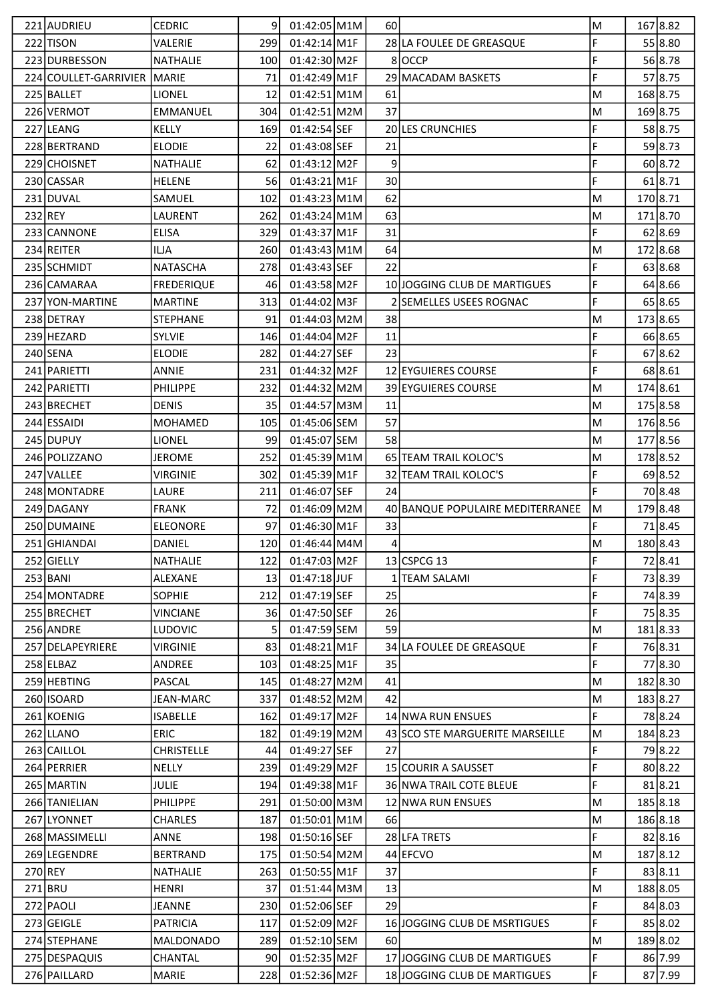|           | 221 AUDRIEU                 | <b>CEDRIC</b>     | 9    | $01:42:05$ M1M | 601            |                                  | M |          | 167 8.82 |
|-----------|-----------------------------|-------------------|------|----------------|----------------|----------------------------------|---|----------|----------|
|           | 222 TISON                   | VALERIE           | 299  | $01:42:14$ M1F |                | 28 LA FOULEE DE GREASQUE         | F |          | 55 8.80  |
|           | 223 DURBESSON               | NATHALIE          | 100  | 01:42:30 M2F   |                | 8 OCCP                           | F |          | 56 8.78  |
|           | 224 COULLET-GARRIVIER MARIE |                   | 71   | 01:42:49 M1F   |                | 29 MACADAM BASKETS               | F |          | 57 8.75  |
|           | 225 BALLET                  | LIONEL            | 12   | 01:42:51 M1M   | 61             |                                  | M |          | 168 8.75 |
|           | 226 VERMOT                  | <b>EMMANUEL</b>   | 304  | 01:42:51 M2M   | 37             |                                  | M |          | 169 8.75 |
|           | 227 LEANG                   | <b>KELLY</b>      | 169  | 01:42:54 SEF   |                | <b>20 LES CRUNCHIES</b>          | F |          | 58 8.75  |
|           | 228 BERTRAND                | <b>ELODIE</b>     | 22   | 01:43:08 SEF   | 21             |                                  | F |          | 59 8.73  |
|           | 229 CHOISNET                | <b>NATHALIE</b>   | 62   | 01:43:12 M2F   | 9              |                                  | F |          | 60 8.72  |
|           | 230 CASSAR                  | <b>HELENE</b>     | 56   | 01:43:21 M1F   | 30             |                                  | F |          | 618.71   |
|           | 231 DUVAL                   | SAMUEL            | 102  | 01:43:23 M1M   | 62             |                                  | M |          | 170 8.71 |
| 232 REY   |                             | LAURENT           | 262  | 01:43:24 M1M   | 63             |                                  | M |          | 171 8.70 |
|           | 233 CANNONE                 | <b>ELISA</b>      | 329  | 01:43:37 M1F   | 31             |                                  | F |          | 62 8.69  |
|           | 234 REITER                  | <b>ILJA</b>       | 260  | 01:43:43 M1M   | 64             |                                  | M |          | 172 8.68 |
|           | 235 SCHMIDT                 | <b>NATASCHA</b>   | 278  | 01:43:43 SEF   | 22             |                                  | F |          | 63 8.68  |
|           | 236 CAMARAA                 | <b>FREDERIQUE</b> | 46   | 01:43:58 M2F   |                | 10 JOGGING CLUB DE MARTIGUES     | F |          | 64 8.66  |
|           | 237 YON-MARTINE             | <b>MARTINE</b>    | 313  | 01:44:02 M3F   |                | 2 SEMELLES USEES ROGNAC          | F |          | 65 8.65  |
|           | 238 DETRAY                  | <b>STEPHANE</b>   | 91   | $01:44:03$ M2M | 38             |                                  | M |          | 173 8.65 |
|           | 239 HEZARD                  | <b>SYLVIE</b>     | 146  | 01:44:04 M2F   | 11             |                                  | F |          | 66 8.65  |
|           | 240 SENA                    | <b>ELODIE</b>     | 282  | 01:44:27 SEF   | 23             |                                  | F |          | 67 8.62  |
|           | 241 PARIETTI                | <b>ANNIE</b>      | 231  | 01:44:32 M2F   |                | 12 EYGUIERES COURSE              | F |          | 68 8.61  |
|           | 242 PARIETTI                | <b>PHILIPPE</b>   | 232  | 01:44:32 M2M   |                | 39 EYGUIERES COURSE              | M | 174 8.61 |          |
|           | 243 BRECHET                 | <b>DENIS</b>      | 35   | 01:44:57 M3M   | 11             |                                  | M |          | 175 8.58 |
|           | 244 ESSAIDI                 | <b>MOHAMED</b>    | 105  | 01:45:06 SEM   | 57             |                                  | M |          | 176 8.56 |
|           | 245 DUPUY                   | <b>LIONEL</b>     | 99   | 01:45:07 SEM   | 58             |                                  | M |          | 177 8.56 |
|           | 246 POLIZZANO               | <b>JEROME</b>     | 252  | 01:45:39 M1M   |                | 65 TEAM TRAIL KOLOC'S            | M |          | 178 8.52 |
|           | 247 VALLEE                  | VIRGINIE          | 302  | 01:45:39 M1F   |                | 32 TEAM TRAIL KOLOC'S            | F |          | 69 8.52  |
|           | 248 MONTADRE                | LAURE             | 211  | 01:46:07 SEF   | 24             |                                  | F |          | 70 8.48  |
|           | 249 DAGANY                  | <b>FRANK</b>      | 72   | 01:46:09 M2M   |                | 40 BANQUE POPULAIRE MEDITERRANEE | M |          | 179 8.48 |
|           | 250 DUMAINE                 | <b>ELEONORE</b>   | 97   | 01:46:30 M1F   | 33             |                                  | F |          | 718.45   |
|           | 251 GHIANDAI                | DANIEL            | 120I | 01:46:44 M4M   | $\overline{4}$ |                                  | M |          | 180 8.43 |
|           | 252 GIELLY                  | NATHALIE          | 122  | 01:47:03 M2F   |                | $13$ CSPCG 13                    | F |          | 72 8.41  |
|           | 253 BANI                    | ALEXANE           | 13   | 01:47:18 JUF   |                | 1 TEAM SALAMI                    | F |          | 73 8.39  |
|           | 254 MONTADRE                | <b>SOPHIE</b>     | 212  | 01:47:19 SEF   | 25             |                                  | F |          | 74 8.39  |
|           | 255 BRECHET                 | <b>VINCIANE</b>   | 36   | 01:47:50 SEF   | 26             |                                  | F |          | 75 8.35  |
|           | 256 ANDRE                   | <b>LUDOVIC</b>    | 5    | 01:47:59 SEM   | 59             |                                  | M |          | 1818.33  |
|           | 257 DELAPEYRIERE            | VIRGINIE          | 83   | 01:48:21 M1F   |                | 34 LA FOULEE DE GREASQUE         | F |          | 76 8.31  |
|           | 258 ELBAZ                   | ANDREE            | 103  | 01:48:25 M1F   | 35             |                                  | F |          | 77 8.30  |
|           | 259 HEBTING                 | <b>PASCAL</b>     | 145  | $01:48:27$ M2M | 41             |                                  | M |          | 182 8.30 |
|           | 260 ISOARD                  | JEAN-MARC         | 337  | 01:48:52 M2M   | 42             |                                  | M |          | 183 8.27 |
|           | 261 KOENIG                  | <b>ISABELLE</b>   | 162  | 01:49:17 M2F   |                | 14 NWA RUN ENSUES                | F |          | 78 8.24  |
|           | 262 LLANO                   | ERIC              | 182  | $01:49:19$ M2M |                | 43 SCO STE MARGUERITE MARSEILLE  | M |          | 184 8.23 |
|           | 263 CAILLOL                 | <b>CHRISTELLE</b> | 44   | 01:49:27 SEF   | 27             |                                  | F |          | 79 8.22  |
|           | 264 PERRIER                 | <b>NELLY</b>      | 239  | 01:49:29 M2F   |                | 15 COURIR A SAUSSET              | F |          | 80 8.22  |
|           | 265 MARTIN                  | <b>JULIE</b>      | 194  | 01:49:38 M1F   |                | <b>36 NWA TRAIL COTE BLEUE</b>   | F |          | 818.21   |
|           | 266 TANIELIAN               | <b>PHILIPPE</b>   | 291  | 01:50:00 M3M   |                | 12 NWA RUN ENSUES                | M |          | 185 8.18 |
|           | 267 LYONNET                 | <b>CHARLES</b>    | 187  | $01:50:01$ M1M | 66             |                                  | M |          | 186 8.18 |
|           | 268 MASSIMELLI              | ANNE              | 198  | 01:50:16 SEF   |                | 28 LFA TRETS                     | F |          | 82 8.16  |
|           | 269 LEGENDRE                | <b>BERTRAND</b>   | 175  | 01:50:54 M2M   |                | 44 EFCVO                         | M |          | 187 8.12 |
| $270$ REY |                             | <b>NATHALIE</b>   | 263  | 01:50:55 M1F   | 37             |                                  | F |          | 83 8.11  |
|           | 271 BRU                     | HENRI             | 37   | 01:51:44 M3M   | 13             |                                  | M |          | 188 8.05 |
|           | 272 PAOLI                   | JEANNE            | 230  | 01:52:06 SEF   | 29             |                                  | F |          | 84 8.03  |
|           | 273 GEIGLE                  | <b>PATRICIA</b>   | 117  | 01:52:09 M2F   |                | 16 JOGGING CLUB DE MSRTIGUES     | F |          | 85 8.02  |
|           | 274 STEPHANE                | MALDONADO         | 289  | 01:52:10 SEM   | 60             |                                  | M |          | 189 8.02 |
|           | 275 DESPAQUIS               | CHANTAL           | 90   | 01:52:35 M2F   |                | 17 JOGGING CLUB DE MARTIGUES     | F |          | 86 7.99  |
|           | 276 PAILLARD                | MARIE             | 228  | 01:52:36 M2F   |                | 18 JOGGING CLUB DE MARTIGUES     | F |          | 87 7.99  |
|           |                             |                   |      |                |                |                                  |   |          |          |